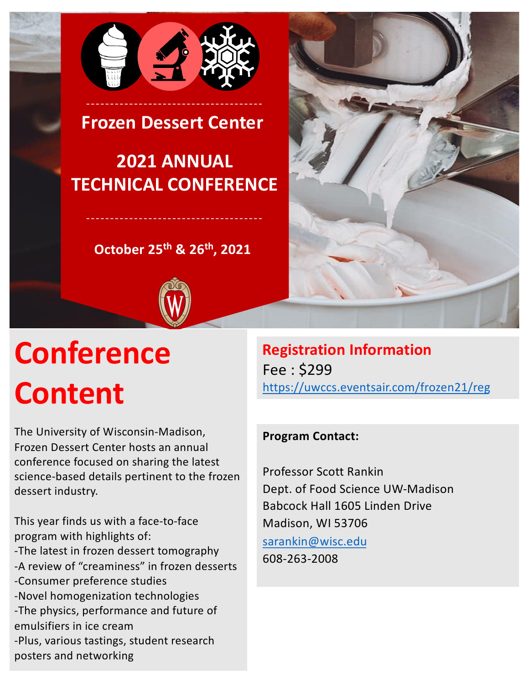

**Frozen Dessert Center**

# **2021 ANNUAL TECHNICAL CONFERENCE**

**October 25th & 26th, 2021**



# **Conference Content**

The University of Wisconsin-Madison, Frozen Dessert Center hosts an annual conference focused on sharing the latest science-based details pertinent to the frozen dessert industry.

This year finds us with a face-to-face program with highlights of: -The latest in frozen dessert tomography -A review of "creaminess" in frozen desserts -Consumer preference studies -Novel homogenization technologies -The physics, performance and future of emulsifiers in ice cream -Plus, various tastings, student research posters and networking

**Registration Information**  Fee : \$299 [https://uwccs.eventsair.com/frozen21/re](https://uwccs.eventsair.com/frozen21/reg)g

# **Program Contact:**

Professor Scott Rankin Dept. of Food Science UW-Madison Babcock Hall 1605 Linden Drive Madison, WI 53706 [sarankin@wisc.ed](mailto:sarankin@wisc.edu)u 608-263-2008